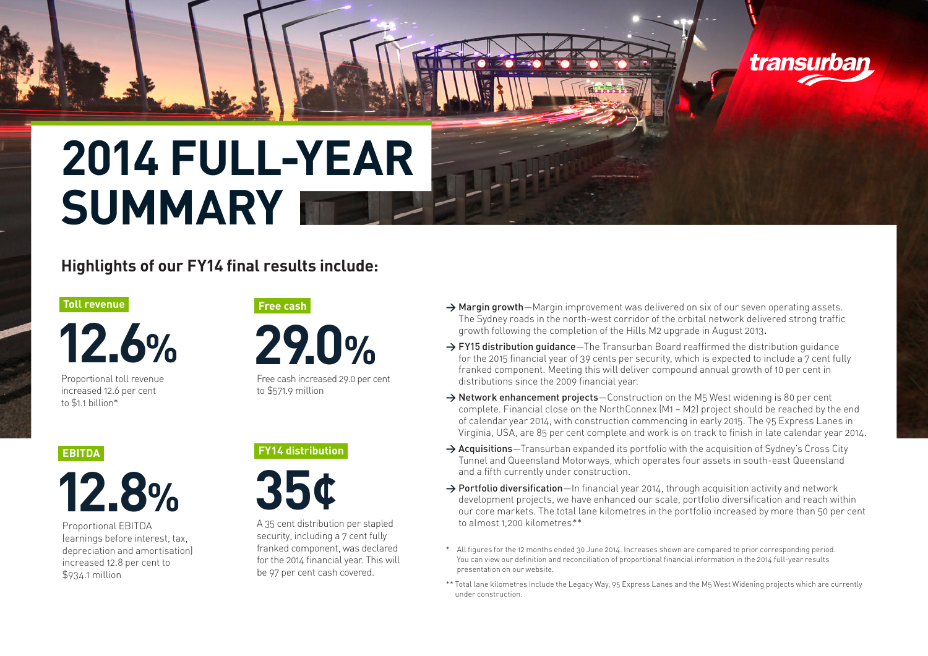

## **Highlights of our FY14 final results include:**

#### **Toll revenue**

**12.6%**

Proportional toll revenue increased 12.6 per cent  $to$  $$11 billion*$ 

**29.0%**

**Free cash**

Free cash increased 29.0 per cent to \$571.9 million

#### **EBITDA**



Proportional EBITDA (earnings before interest, tax, depreciation and amortisation) increased 12.8 per cent to \$934.1 million



**FY14 distribution**

A 35 cent distribution per stapled security, including a 7 cent fully franked component, was declared for the 2014 financial year. This will be 97 per cent cash covered.

→ Margin growth–Margin improvement was delivered on six of our seven operating assets. The Sydney roads in the north-west corridor of the orbital network delivered strong traffic growth following the completion of the Hills M2 upgrade in August 2013.

transurban

- → FY15 distribution quidance–The Transurban Board reaffirmed the distribution quidance for the 2015 financial year of 39 cents per security, which is expected to include a 7 cent fully franked component. Meeting this will deliver compound annual growth of 10 per cent in distributions since the 2009 financial year.
- **>** Network enhancement projects—Construction on the M5 West widening is 80 per cent complete. Financial close on the NorthConnex (M1 – M2) project should be reached by the end of calendar year 2014, with construction commencing in early 2015. The 95 Express Lanes in Virginia, USA, are 85 per cent complete and work is on track to finish in late calendar year 2014.
- **>** Acquisitions—Transurban expanded its portfolio with the acquisition of Sydney's Cross City Tunnel and Queensland Motorways, which operates four assets in south-east Queensland and a fifth currently under construction.
- → **Portfolio diversification**—In financial year 2014, through acquisition activity and network development projects, we have enhanced our scale, portfolio diversification and reach within our core markets. The total lane kilometres in the portfolio increased by more than 50 per cent to almost 1,200 kilometres.\*\*
- \* All figures for the 12 months ended 30 June 2014. Increases shown are compared to prior corresponding period. You can view our definition and reconciliation of proportional financial information in the 2014 full-year results presentation on our website.
- \*\* Total lane kilometres include the Legacy Way, 95 Express Lanes and the M5 West Widening projects which are currently under construction.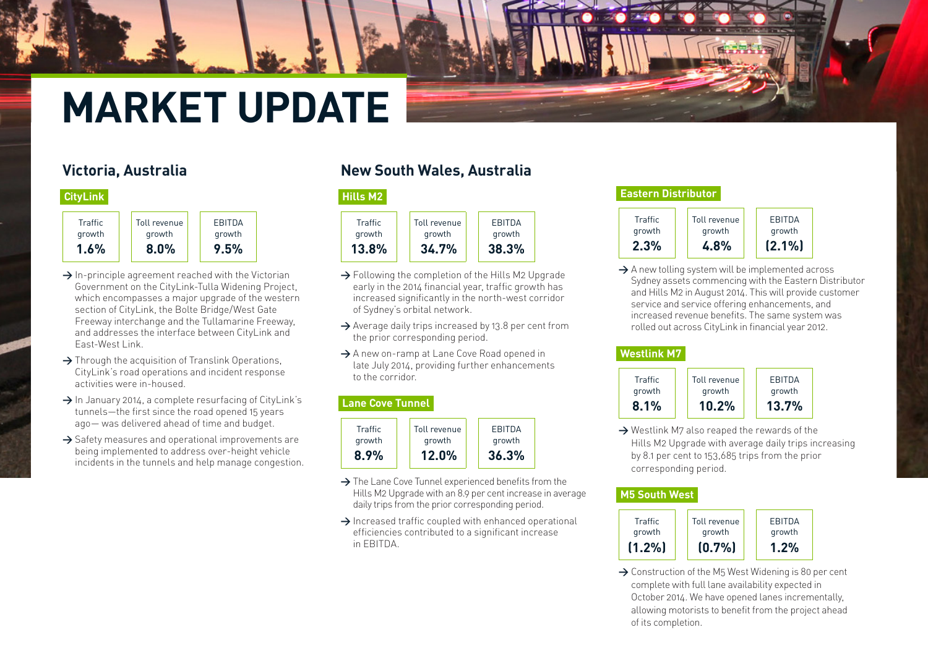# **MARKET UPDATE**

## **Victoria, Australia**

#### **[CityLink](http://www.transurban.com/cityLink.htm)**

| <b>Traffic</b> | Toll revenue | <b>FRITDA</b> |
|----------------|--------------|---------------|
| growth         | growth       | growth        |
| $1.6\%$        | 8.0%         | 9.5%          |

- **>** In-principle agreement reached with the Victorian Government on the CityLink-Tulla Widening Project, which encompasses a major upgrade of the western section of CityLink, the Bolte Bridge/West Gate Freeway interchange and the Tullamarine Freeway, and addresses the interface between CityLink and East-West Link.
- **>** Through the acquisition of Translink Operations, CityLink's road operations and incident response activities were in-housed.
- **>** In January 2014, a complete resurfacing of CityLink's tunnels—the first since the road opened 15 years ago— was delivered ahead of time and budget.
- **>** Safety measures and operational improvements are being implemented to address over-height vehicle incidents in the tunnels and help manage congestion.

## **New South Wales, Australia**

#### **[Hills M2](http://www.transurban.com/hillsm2.htm)**



- **>** Following the completion of the Hills M2 Upgrade early in the 2014 financial year, traffic growth has increased significantly in the north-west corridor of Sydney's orbital network.
- **>** Average daily trips increased by 13.8 per cent from the prior corresponding period.
- → A new on-ramp at Lane Cove Road opened in late July 2014, providing further enhancements to the corridor.

#### **[Lane Cove Tunnel](http://www.transurban.com/lanecovetunnel.htm)**



- **>** The Lane Cove Tunnel experienced benefits from the Hills M2 Upgrade with an 8.9 per cent increase in average daily trips from the prior corresponding period.
- **>** Increased traffic coupled with enhanced operational efficiencies contributed to a significant increase in EBITDA.

#### **[Eastern Distributor](http://www.transurban.com/easterndistributor.htm)**



→ A new tolling system will be implemented across Sydney assets commencing with the Eastern Distributor and Hills M2 in August 2014. This will provide customer service and service offering enhancements, and increased revenue benefits. The same system was rolled out across CityLink in financial year 2012.

#### **[Westlink M7](http://www.transurban.com/westlinkm7.htm)**

| <b>Traffic</b> | Toll revenue | <b>FRITDA</b> |
|----------------|--------------|---------------|
| growth         | growth       | growth        |
| $8.1\%$        | $10.2\%$     | 13.7%         |

**>** Westlink M7 also reaped the rewards of the Hills M2 Upgrade with average daily trips increasing by 8.1 per cent to 153,685 trips from the prior corresponding period.

#### **[M5 South West](http://www.transurban.com/m5southwest.htm)**

| Traffic   | Toll revenue | EBITDA |
|-----------|--------------|--------|
| growth    | growth       | growth |
| $(1.2\%)$ | (0.7%        | 1.2%   |

→ Construction of the M<sub>5</sub> West Widening is 80 per cent complete with full lane availability expected in October 2014. We have opened lanes incrementally, allowing motorists to benefit from the project ahead of its completion.